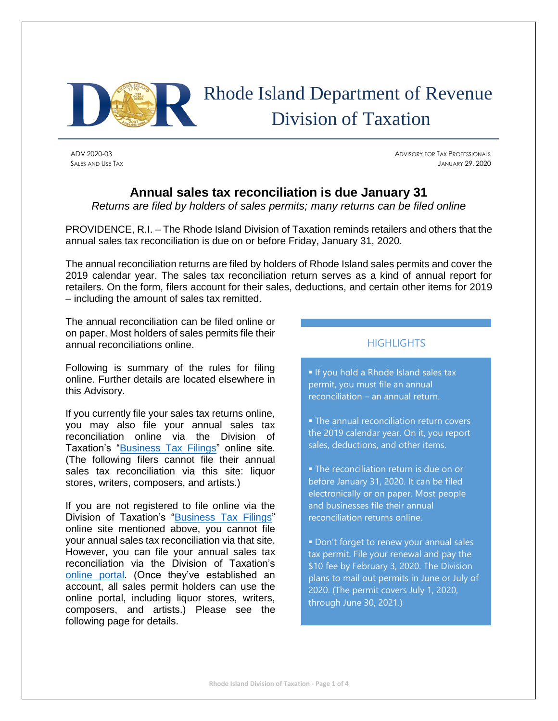

# Rhode Island Department of Revenue Division of Taxation

ADV 2020-03 ADVISORY FOR TAX PROFESSIONALS SALES AND USE TAX JANUARY 29, 2020

## **Annual sales tax reconciliation is due January 31**

*Returns are filed by holders of sales permits; many returns can be filed online* 

PROVIDENCE, R.I. – The Rhode Island Division of Taxation reminds retailers and others that the annual sales tax reconciliation is due on or before Friday, January 31, 2020.

The annual reconciliation returns are filed by holders of Rhode Island sales permits and cover the 2019 calendar year. The sales tax reconciliation return serves as a kind of annual report for retailers. On the form, filers account for their sales, deductions, and certain other items for 2019 – including the amount of sales tax remitted.

The annual reconciliation can be filed online or on paper. Most holders of sales permits file their annual reconciliations online.

Following is summary of the rules for filing online. Further details are located elsewhere in this Advisory.

If you currently file your sales tax returns online, you may also file your annual sales tax reconciliation online via the Division of Taxation's ["Business Tax Filings"](https://www.ri.gov/taxation/business/index.php) online site. (The following filers cannot file their annual sales tax reconciliation via this site: liquor stores, writers, composers, and artists.)

If you are not registered to file online via the Division of Taxation's "Business [Tax Filings"](https://www.ri.gov/taxation/business/index.php) online site mentioned above, you cannot file your annual sales tax reconciliation via that site. However, you can file your annual sales tax reconciliation via the Division of Taxation's [online portal.](https://taxportal.ri.gov/) (Once they've established an account, all sales permit holders can use the online portal, including liquor stores, writers, composers, and artists.) Please see the following page for details.

### **HIGHLIGHTS**

**If you hold a Rhode Island sales tax** permit, you must file an annual reconciliation – an annual return.

**The annual reconciliation return covers** the 2019 calendar year. On it, you report sales, deductions, and other items.

**• The reconciliation return is due on or** before January 31, 2020. It can be filed electronically or on paper. Most people and businesses file their annual reconciliation returns online.

**• Don't forget to renew your annual sales** tax permit. File your renewal and pay the \$10 fee by February 3, 2020. The Division plans to mail out permits in June or July of 2020. (The permit covers July 1, 2020, through June 30, 2021.)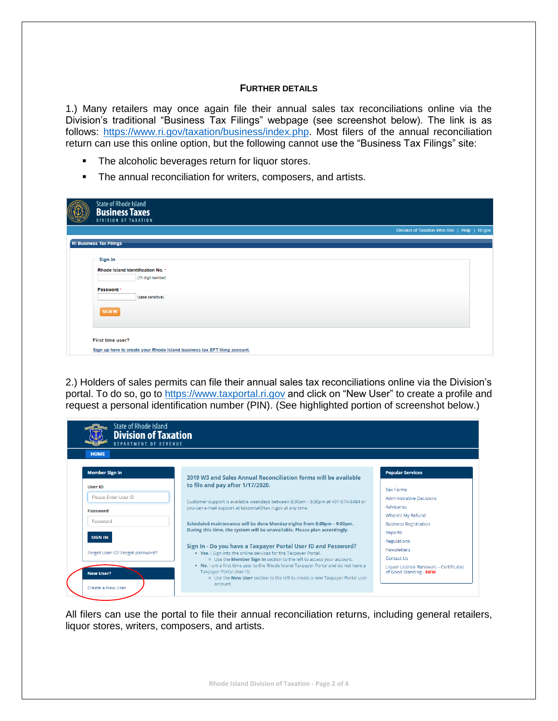#### **FURTHER DETAILS**

1.) Many retailers may once again file their annual sales tax reconciliations online via the Division's traditional "Business Tax Filings" webpage (see screenshot below). The link is as follows: [https://www.ri.gov/taxation/business/index.php.](https://www.ri.gov/taxation/business/index.php) Most filers of the annual reconciliation return can use this online option, but the following cannot use the "Business Tax Filings" site:

- The alcoholic beverages return for liquor stores.
- **•** The annual reconciliation for writers, composers, and artists.

|                                | State of Rhode Island<br><b>Business Taxes</b><br>DIVISION OF TAXATION    |                                               |  |  |  |  |  |
|--------------------------------|---------------------------------------------------------------------------|-----------------------------------------------|--|--|--|--|--|
|                                |                                                                           | Division of Taxation Web Site   Help   RI.gov |  |  |  |  |  |
| <b>RI Business Tax Filings</b> |                                                                           |                                               |  |  |  |  |  |
|                                | Sign in<br>Rhode Island Identification No. *<br>(11-digit number)         |                                               |  |  |  |  |  |
|                                | Password *<br>(case sensitive)                                            |                                               |  |  |  |  |  |
|                                | <b>SIGN IN</b>                                                            |                                               |  |  |  |  |  |
|                                | First time user?                                                          |                                               |  |  |  |  |  |
|                                | Sign up here to create your Rhode Island business tax EFT filing account. |                                               |  |  |  |  |  |

2.) Holders of sales permits can file their annual sales tax reconciliations online via the Division's portal. To do so, go to [https://www.taxportal.ri.gov](https://www.taxportal.ri.gov/) and click on "New User" to create a profile and request a personal identification number (PIN). (See highlighted portion of screenshot below.)

| <b>HOME</b>                      |                                                                                                                                                                                                                                                                                                                                                                                                           |                                                                  |  |  |  |  |  |
|----------------------------------|-----------------------------------------------------------------------------------------------------------------------------------------------------------------------------------------------------------------------------------------------------------------------------------------------------------------------------------------------------------------------------------------------------------|------------------------------------------------------------------|--|--|--|--|--|
| <b>Member Sign In</b>            | 2019 W3 and Sales Annual Reconciliation forms will be available                                                                                                                                                                                                                                                                                                                                           | <b>Popular Services</b>                                          |  |  |  |  |  |
| <b>User ID</b>                   | to file and pay after 1/17/2020.                                                                                                                                                                                                                                                                                                                                                                          | <b>Tax Forms</b>                                                 |  |  |  |  |  |
| Please Enter User ID             | Customer support is available weekdays between 8:30am - 3:30pm at 401-574-8484 or                                                                                                                                                                                                                                                                                                                         | <b>Administrative Decisions</b>                                  |  |  |  |  |  |
| Password                         | you can e-mail support at taxportal@tax.ri.gov at any time.                                                                                                                                                                                                                                                                                                                                               | Advisories                                                       |  |  |  |  |  |
|                                  |                                                                                                                                                                                                                                                                                                                                                                                                           | Where's My Refund                                                |  |  |  |  |  |
| Password                         | Scheduled maintenance will be done Monday nights from 8:00pm - 9:00pm.                                                                                                                                                                                                                                                                                                                                    | <b>Business Registration</b>                                     |  |  |  |  |  |
| <b>SIGN IN</b>                   | During this time, the system will be unavailable. Please plan accordingly.                                                                                                                                                                                                                                                                                                                                | Reports                                                          |  |  |  |  |  |
|                                  |                                                                                                                                                                                                                                                                                                                                                                                                           | <b>Regulations</b>                                               |  |  |  |  |  |
| Forgot User ID? Forgot password? | Sign In - Do you have a Taxpayer Portal User ID and Password?<br>. Yes, I Sign into the online services for the Taxpayer Portal.<br>o Use the Member Sign In section to the left to access your account.<br>. No, I am a first time user to the Rhode Island Taxpayer Portal and do not have a<br>Taxpayer Portal User ID.<br>o Use the New User section to the left to create a new Taxpayer Portal user | <b>Newsletters</b>                                               |  |  |  |  |  |
|                                  |                                                                                                                                                                                                                                                                                                                                                                                                           | Contact Us                                                       |  |  |  |  |  |
| <b>New User?</b>                 |                                                                                                                                                                                                                                                                                                                                                                                                           | Liquor License Renewals - Certificates<br>of Good Standing - NEW |  |  |  |  |  |

All filers can use the portal to file their annual reconciliation returns, including general retailers, liquor stores, writers, composers, and artists.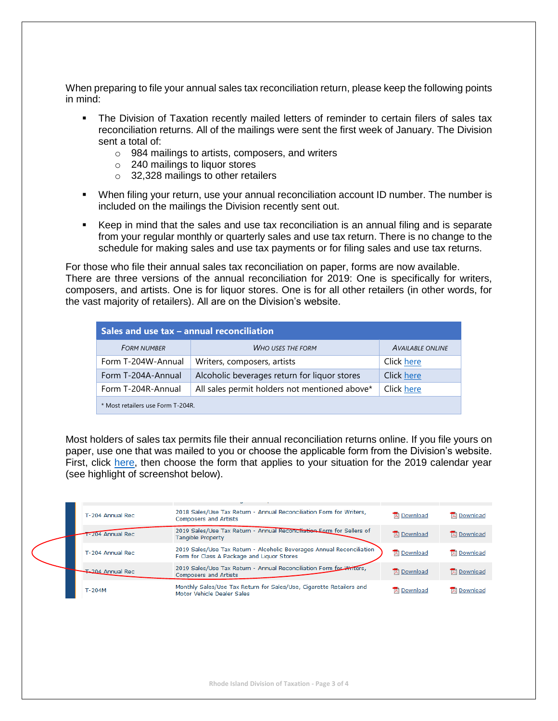When preparing to file your annual sales tax reconciliation return, please keep the following points in mind:

- **•** The Division of Taxation recently mailed letters of reminder to certain filers of sales tax reconciliation returns. All of the mailings were sent the first week of January. The Division sent a total of:
	- o 984 mailings to artists, composers, and writers
	- o 240 mailings to liquor stores
	- $\circ$  32,328 mailings to other retailers
- When filing your return, use your annual reconciliation account ID number. The number is included on the mailings the Division recently sent out.
- Keep in mind that the sales and use tax reconciliation is an annual filing and is separate from your regular monthly or quarterly sales and use tax return. There is no change to the schedule for making sales and use tax payments or for filing sales and use tax returns.

For those who file their annual sales tax reconciliation on paper, forms are now available. There are three versions of the annual reconciliation for 2019: One is specifically for writers, composers, and artists. One is for liquor stores. One is for all other retailers (in other words, for the vast majority of retailers). All are on the Division's website.

| Sales and use tax - annual reconciliation |                                               |                         |  |  |  |  |  |
|-------------------------------------------|-----------------------------------------------|-------------------------|--|--|--|--|--|
| <b>FORM NUMBER</b>                        | <b>WHO USES THE FORM</b>                      | <b>AVAILABLE ONLINE</b> |  |  |  |  |  |
| Form T-204W-Annual                        | Writers, composers, artists                   | Click here              |  |  |  |  |  |
| Form T-204A-Annual                        | Alcoholic beverages return for liquor stores  | Click here              |  |  |  |  |  |
| Form T-204R-Annual                        | All sales permit holders not mentioned above* | Click here              |  |  |  |  |  |
| * Most retailers use Form T-204R.         |                                               |                         |  |  |  |  |  |

Most holders of sales tax permits file their annual reconciliation returns online. If you file yours on paper, use one that was mailed to you or choose the applicable form from the Division's website. First, click [here,](http://www.tax.ri.gov/taxforms/sales_excise/sales_use.php) then choose the form that applies to your situation for the 2019 calendar year (see highlight of screenshot below).

| T-204 Annual Rec        | 2018 Sales/Use Tax Return - Annual Reconciliation Form for Writers,<br><b>Composers and Artists</b>                 | <b>Download</b>    | 因 Download         |
|-------------------------|---------------------------------------------------------------------------------------------------------------------|--------------------|--------------------|
| T-204 Annual Rec        | 2019 Sales/Use Tax Return - Annual Reconciliation Eorm for Sellers of<br><b>Tangible Property</b>                   | <b>因</b> Download  | <b>IA</b> Download |
| T-204 Annual Rec        | 2019 Sales/Use Tax Return - Alcoholic Beverages Annual Reconciliation<br>Form for Class A Package and Liguor Stores | <b>Download</b>    | <b>Download</b>    |
| <b>T-204 Annual Rec</b> | 2019 Sales/Use Tax Return - Annual Reconciliation Form for Writers,<br><b>Composers and Artists</b>                 | <b>Download</b>    | <b>A</b> Download  |
| $T-204M$                | Monthly Sales/Use Tax Return for Sales/Use, Cigarette Retailers and<br>Motor Vehicle Dealer Sales                   | <b>IA</b> Download | <b>IA</b> Download |